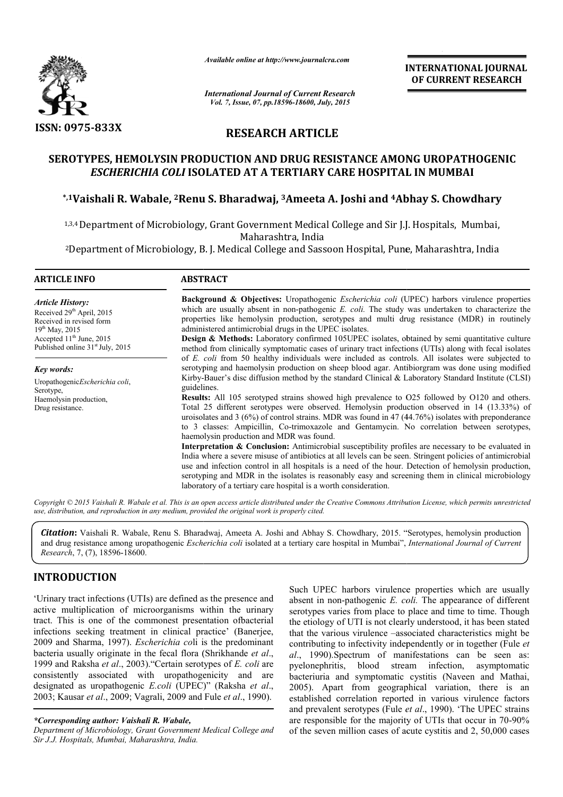

*Available online at http://www.journalcra.com*

# **RESEARCH ARTICLE**

# **SEROTYPES, HEMOLYSIN PRODUCTION AND DRUG RESISTANCE AMONG UROPATHOGENIC**  *ESCHERICHIA COLI* **ISOLATED AT A TERTIARY CARE HOSPITAL IN MUMBAI CARE HOSPITAL EROTYPES, HEMOLYSIN PRODUCTION AND DRUG RESISTANCE AMONG UROPATHOGEN<br>***ESCHERICHIA COLI* **ISOLATED AT A TERTIARY CARE HOSPITAL IN MUMBAI<br><sup>\*,1</sup>Vaishali R. Wabale, <sup>2</sup>Renu S. Bharadwaj, <sup>3</sup>Ameeta A. Joshi and <sup>4</sup>Abhay S. Chow**

|                                                                                                                                                                                                                                                                                                                                                                                                                                                                                                                                                                                                                                                                                                                                                                                                                    | unuvic vinine ui nup://www.jvurnuicru.com<br><b>International Journal of Current Research</b><br>Vol. 7, Issue, 07, pp.18596-18600, July, 2015                                                                                                                                                                                                                                                                                                                                                                                                                                                                                                                                                                                                                                                                                                                                                                                                                                                                                                                                                                                                                                                                                                                                                                                                                                                                                                                                                                                                                                                                                                                                                                                                                                                                                                                                                                                                                                                                                      |                          | <b>INTERNATIONAL JOURNAL</b><br>OF CURRENT RESEARCH                                                                                                                                                                                                                                                                                                                                                                                                                                                                                                                                                                                                                                                                                                                                                                                                                                                 |  |
|--------------------------------------------------------------------------------------------------------------------------------------------------------------------------------------------------------------------------------------------------------------------------------------------------------------------------------------------------------------------------------------------------------------------------------------------------------------------------------------------------------------------------------------------------------------------------------------------------------------------------------------------------------------------------------------------------------------------------------------------------------------------------------------------------------------------|-------------------------------------------------------------------------------------------------------------------------------------------------------------------------------------------------------------------------------------------------------------------------------------------------------------------------------------------------------------------------------------------------------------------------------------------------------------------------------------------------------------------------------------------------------------------------------------------------------------------------------------------------------------------------------------------------------------------------------------------------------------------------------------------------------------------------------------------------------------------------------------------------------------------------------------------------------------------------------------------------------------------------------------------------------------------------------------------------------------------------------------------------------------------------------------------------------------------------------------------------------------------------------------------------------------------------------------------------------------------------------------------------------------------------------------------------------------------------------------------------------------------------------------------------------------------------------------------------------------------------------------------------------------------------------------------------------------------------------------------------------------------------------------------------------------------------------------------------------------------------------------------------------------------------------------------------------------------------------------------------------------------------------------|--------------------------|-----------------------------------------------------------------------------------------------------------------------------------------------------------------------------------------------------------------------------------------------------------------------------------------------------------------------------------------------------------------------------------------------------------------------------------------------------------------------------------------------------------------------------------------------------------------------------------------------------------------------------------------------------------------------------------------------------------------------------------------------------------------------------------------------------------------------------------------------------------------------------------------------------|--|
|                                                                                                                                                                                                                                                                                                                                                                                                                                                                                                                                                                                                                                                                                                                                                                                                                    |                                                                                                                                                                                                                                                                                                                                                                                                                                                                                                                                                                                                                                                                                                                                                                                                                                                                                                                                                                                                                                                                                                                                                                                                                                                                                                                                                                                                                                                                                                                                                                                                                                                                                                                                                                                                                                                                                                                                                                                                                                     |                          |                                                                                                                                                                                                                                                                                                                                                                                                                                                                                                                                                                                                                                                                                                                                                                                                                                                                                                     |  |
| <b>ISSN: 0975-833X</b>                                                                                                                                                                                                                                                                                                                                                                                                                                                                                                                                                                                                                                                                                                                                                                                             |                                                                                                                                                                                                                                                                                                                                                                                                                                                                                                                                                                                                                                                                                                                                                                                                                                                                                                                                                                                                                                                                                                                                                                                                                                                                                                                                                                                                                                                                                                                                                                                                                                                                                                                                                                                                                                                                                                                                                                                                                                     | <b>RESEARCH ARTICLE</b>  |                                                                                                                                                                                                                                                                                                                                                                                                                                                                                                                                                                                                                                                                                                                                                                                                                                                                                                     |  |
|                                                                                                                                                                                                                                                                                                                                                                                                                                                                                                                                                                                                                                                                                                                                                                                                                    | ESCHERICHIA COLI ISOLATED AT A TERTIARY CARE HOSPITAL IN MUMBAI                                                                                                                                                                                                                                                                                                                                                                                                                                                                                                                                                                                                                                                                                                                                                                                                                                                                                                                                                                                                                                                                                                                                                                                                                                                                                                                                                                                                                                                                                                                                                                                                                                                                                                                                                                                                                                                                                                                                                                     |                          | SEROTYPES, HEMOLYSIN PRODUCTION AND DRUG RESISTANCE AMONG UROPATHOGENIC                                                                                                                                                                                                                                                                                                                                                                                                                                                                                                                                                                                                                                                                                                                                                                                                                             |  |
|                                                                                                                                                                                                                                                                                                                                                                                                                                                                                                                                                                                                                                                                                                                                                                                                                    | *,1Vaishali R. Wabale, <sup>2</sup> Renu S. Bharadwaj, <sup>3</sup> Ameeta A. Joshi and <sup>4</sup> Abhay S. Chowdhary                                                                                                                                                                                                                                                                                                                                                                                                                                                                                                                                                                                                                                                                                                                                                                                                                                                                                                                                                                                                                                                                                                                                                                                                                                                                                                                                                                                                                                                                                                                                                                                                                                                                                                                                                                                                                                                                                                             |                          |                                                                                                                                                                                                                                                                                                                                                                                                                                                                                                                                                                                                                                                                                                                                                                                                                                                                                                     |  |
|                                                                                                                                                                                                                                                                                                                                                                                                                                                                                                                                                                                                                                                                                                                                                                                                                    | <sup>1,3,4</sup> Department of Microbiology, Grant Government Medical College and Sir J.J. Hospitals, Mumbai,                                                                                                                                                                                                                                                                                                                                                                                                                                                                                                                                                                                                                                                                                                                                                                                                                                                                                                                                                                                                                                                                                                                                                                                                                                                                                                                                                                                                                                                                                                                                                                                                                                                                                                                                                                                                                                                                                                                       | Maharashtra, India       |                                                                                                                                                                                                                                                                                                                                                                                                                                                                                                                                                                                                                                                                                                                                                                                                                                                                                                     |  |
|                                                                                                                                                                                                                                                                                                                                                                                                                                                                                                                                                                                                                                                                                                                                                                                                                    | <sup>2</sup> Department of Microbiology, B. J. Medical College and Sassoon Hospital, Pune, Maharashtra, India                                                                                                                                                                                                                                                                                                                                                                                                                                                                                                                                                                                                                                                                                                                                                                                                                                                                                                                                                                                                                                                                                                                                                                                                                                                                                                                                                                                                                                                                                                                                                                                                                                                                                                                                                                                                                                                                                                                       |                          |                                                                                                                                                                                                                                                                                                                                                                                                                                                                                                                                                                                                                                                                                                                                                                                                                                                                                                     |  |
| <b>ARTICLE INFO</b>                                                                                                                                                                                                                                                                                                                                                                                                                                                                                                                                                                                                                                                                                                                                                                                                | <b>ABSTRACT</b>                                                                                                                                                                                                                                                                                                                                                                                                                                                                                                                                                                                                                                                                                                                                                                                                                                                                                                                                                                                                                                                                                                                                                                                                                                                                                                                                                                                                                                                                                                                                                                                                                                                                                                                                                                                                                                                                                                                                                                                                                     |                          |                                                                                                                                                                                                                                                                                                                                                                                                                                                                                                                                                                                                                                                                                                                                                                                                                                                                                                     |  |
| <b>Article History:</b><br>Received 29th April, 2015<br>Received in revised form<br>19th May, 2015<br>Accepted 11 <sup>th</sup> June, 2015<br>Published online 31 <sup>st</sup> July, 2015<br>Key words:<br>UropathogenicEscherichia coli,<br>Serotype,<br>Haemolysin production,<br>Drug resistance.                                                                                                                                                                                                                                                                                                                                                                                                                                                                                                              | Background & Objectives: Uropathogenic <i>Escherichia coli</i> (UPEC) harbors virulence properties<br>which are usually absent in non-pathogenic E. coli. The study was undertaken to characterize the<br>properties like hemolysin production, serotypes and multi drug resistance (MDR) in routinely<br>administered antimicrobial drugs in the UPEC isolates.<br>Design & Methods: Laboratory confirmed 105UPEC isolates, obtained by semi quantitative culture<br>method from clinically symptomatic cases of urinary tract infections (UTIs) along with fecal isolates<br>of E. coli from 50 healthy individuals were included as controls. All isolates were subjected to<br>serotyping and haemolysin production on sheep blood agar. Antibiorgram was done using modified<br>Kirby-Bauer's disc diffusion method by the standard Clinical & Laboratory Standard Institute (CLSI)<br>guidelines.<br>Results: All 105 serotyped strains showed high prevalence to O25 followed by O120 and others.<br>Total 25 different serotypes were observed. Hemolysin production observed in 14 (13.33%) of<br>uroisolates and $3$ (6%) of control strains. MDR was found in 47 (44.76%) isolates with preponderance<br>to 3 classes: Ampicillin, Co-trimoxazole and Gentamycin. No correlation between serotypes,<br>haemolysin production and MDR was found.<br>Interpretation & Conclusion: Antimicrobial susceptibility profiles are necessary to be evaluated in<br>India where a severe misuse of antibiotics at all levels can be seen. Stringent policies of antimicrobial<br>use and infection control in all hospitals is a need of the hour. Detection of hemolysin production,<br>serotyping and MDR in the isolates is reasonably easy and screening them in clinical microbiology<br>laboratory of a tertiary care hospital is a worth consideration.<br>Copyright © 2015 Vaishali R. Wabale et al. This is an open access article distributed under the Creative Commons Attribution License, which permits unrestricted |                          |                                                                                                                                                                                                                                                                                                                                                                                                                                                                                                                                                                                                                                                                                                                                                                                                                                                                                                     |  |
| use, distribution, and reproduction in any medium, provided the original work is properly cited.                                                                                                                                                                                                                                                                                                                                                                                                                                                                                                                                                                                                                                                                                                                   |                                                                                                                                                                                                                                                                                                                                                                                                                                                                                                                                                                                                                                                                                                                                                                                                                                                                                                                                                                                                                                                                                                                                                                                                                                                                                                                                                                                                                                                                                                                                                                                                                                                                                                                                                                                                                                                                                                                                                                                                                                     |                          | Citation: Vaishali R. Wabale, Renu S. Bharadwaj, Ameeta A. Joshi and Abhay S. Chowdhary, 2015. "Serotypes, hemolysin production<br>and drug resistance among uropathogenic Escherichia coli isolated at a tertiary care hospital in Mumbai", International Journal of Current                                                                                                                                                                                                                                                                                                                                                                                                                                                                                                                                                                                                                       |  |
| Research, 7, (7), 18596-18600.                                                                                                                                                                                                                                                                                                                                                                                                                                                                                                                                                                                                                                                                                                                                                                                     |                                                                                                                                                                                                                                                                                                                                                                                                                                                                                                                                                                                                                                                                                                                                                                                                                                                                                                                                                                                                                                                                                                                                                                                                                                                                                                                                                                                                                                                                                                                                                                                                                                                                                                                                                                                                                                                                                                                                                                                                                                     |                          |                                                                                                                                                                                                                                                                                                                                                                                                                                                                                                                                                                                                                                                                                                                                                                                                                                                                                                     |  |
| <b>INTRODUCTION</b><br>'Urinary tract infections (UTIs) are defined as the presence and<br>active multiplication of microorganisms within the urinary<br>tract. This is one of the commonest presentation ofbacterial<br>infections seeking treatment in clinical practice' (Banerjee,<br>2009 and Sharma, 1997). <i>Escherichia coli</i> is the predominant<br>bacteria usually originate in the fecal flora (Shrikhande et al.,<br>1999 and Raksha et al., 2003). "Certain serotypes of E. coli are<br>consistently associated with uropathogenicity and are<br>designated as uropathogenic E.coli (UPEC)" (Raksha et al.,<br>2003; Kausar et al., 2009; Vagrali, 2009 and Fule et al., 1990).<br>*Corresponding author: Vaishali R. Wabale,<br>Department of Microbiology, Grant Government Medical College and |                                                                                                                                                                                                                                                                                                                                                                                                                                                                                                                                                                                                                                                                                                                                                                                                                                                                                                                                                                                                                                                                                                                                                                                                                                                                                                                                                                                                                                                                                                                                                                                                                                                                                                                                                                                                                                                                                                                                                                                                                                     | blood<br>pyelonephritis, | Such UPEC harbors virulence properties which are usually<br>absent in non-pathogenic E. coli. The appearance of different<br>serotypes varies from place to place and time to time. Though<br>the etiology of UTI is not clearly understood, it has been stated<br>that the various virulence -associated characteristics might be<br>contributing to infectivity independently or in together (Fule et<br>al., 1990). Spectrum of manifestations can be seen as:<br>stream infection,<br>asymptomatic<br>bacteriuria and symptomatic cystitis (Naveen and Mathai,<br>2005). Apart from geographical variation, there is an<br>established correlation reported in various virulence factors<br>and prevalent serotypes (Fule et al., 1990). 'The UPEC strains<br>are responsible for the majority of UTIs that occur in 70-90%<br>of the seven million cases of acute cystitis and 2, 50,000 cases |  |

### **INTRODUCTION**

#### *\*Corresponding author: Vaishali R. Wabale,*

*Department of Microbiology, Grant Government Medical College and Sir J.J. Hospitals, Mumbai, Maharashtra, India.*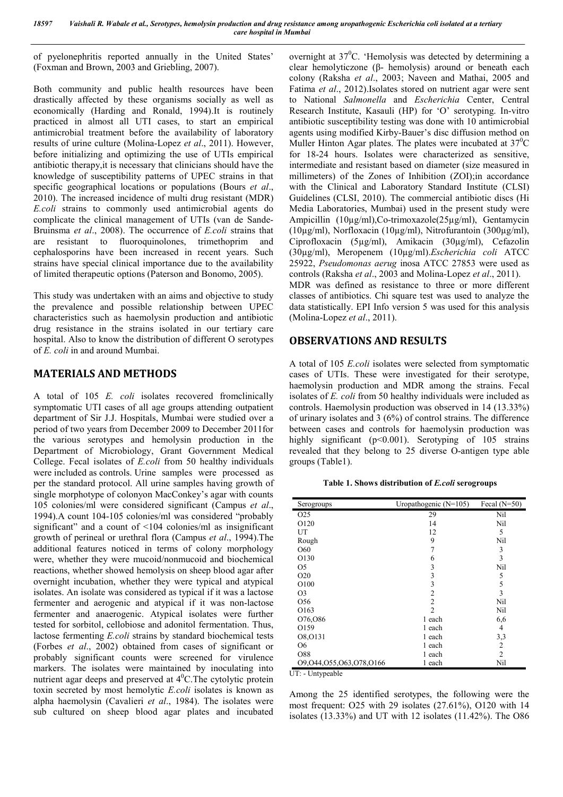of pyelonephritis reported annually in the United States' (Foxman and Brown, 2003 and Griebling, 2007).

Both community and public health resources have been drastically affected by these organisms socially as well as economically (Harding and Ronald, 1994).It is routinely practiced in almost all UTI cases, to start an empirical antimicrobial treatment before the availability of laboratory results of urine culture (Molina-Lopez *et al*., 2011). However, before initializing and optimizing the use of UTIs empirical antibiotic therapy,it is necessary that clinicians should have the knowledge of susceptibility patterns of UPEC strains in that specific geographical locations or populations (Bours *et al*., 2010). The increased incidence of multi drug resistant (MDR) *E.coli* strains to commonly used antimicrobial agents do complicate the clinical management of UTIs (van de Sande-Bruinsma *et al*., 2008). The occurrence of *E.coli* strains that are resistant to fluoroquinolones, trimethoprim and cephalosporins have been increased in recent years. Such strains have special clinical importance due to the availability of limited therapeutic options (Paterson and Bonomo, 2005).

This study was undertaken with an aims and objective to study the prevalence and possible relationship between UPEC characteristics such as haemolysin production and antibiotic drug resistance in the strains isolated in our tertiary care hospital. Also to know the distribution of different O serotypes of *E. coli* in and around Mumbai.

# **MATERIALS AND METHODS**

A total of 105 *E. coli* isolates recovered fromclinically symptomatic UTI cases of all age groups attending outpatient department of Sir J.J. Hospitals, Mumbai were studied over a period of two years from December 2009 to December 2011for the various serotypes and hemolysin production in the Department of Microbiology, Grant Government Medical College. Fecal isolates of *E.coli* from 50 healthy individuals were included as controls. Urine samples were processed as per the standard protocol. All urine samples having growth of single morphotype of colonyon MacConkey's agar with counts 105 colonies/ml were considered significant (Campus *et al*., 1994).A count 104-105 colonies/ml was considered "probably significant" and a count of <104 colonies/ml as insignificant growth of perineal or urethral flora (Campus *et al*., 1994).The additional features noticed in terms of colony morphology were, whether they were mucoid/nonmucoid and biochemical reactions, whether showed hemolysis on sheep blood agar after overnight incubation, whether they were typical and atypical isolates. An isolate was considered as typical if it was a lactose fermenter and aerogenic and atypical if it was non-lactose fermenter and anaerogenic. Atypical isolates were further tested for sorbitol, cellobiose and adonitol fermentation. Thus, lactose fermenting *E.coli* strains by standard biochemical tests (Forbes *et al*., 2002) obtained from cases of significant or probably significant counts were screened for virulence markers. The isolates were maintained by inoculating into nutrient agar deeps and preserved at 4<sup>0</sup>C. The cytolytic protein toxin secreted by most hemolytic *E.coli* isolates is known as alpha haemolysin (Cavalieri *et al*., 1984). The isolates were sub cultured on sheep blood agar plates and incubated

overnight at  $37^{\circ}$ C. 'Hemolysis was detected by determining a clear hemolyticzone (β- hemolysis) around or beneath each colony (Raksha *et al*., 2003; Naveen and Mathai, 2005 and Fatima *et al*., 2012).Isolates stored on nutrient agar were sent to National *Salmonella* and *Escherichia* Center, Central Research Institute, Kasauli (HP) for 'O' serotyping. In-vitro antibiotic susceptibility testing was done with 10 antimicrobial agents using modified Kirby-Bauer's disc diffusion method on Muller Hinton Agar plates. The plates were incubated at  $37^0C$ for 18-24 hours. Isolates were characterized as sensitive, intermediate and resistant based on diameter (size measured in millimeters) of the Zones of Inhibition (ZOI);in accordance with the Clinical and Laboratory Standard Institute (CLSI) Guidelines (CLSI, 2010). The commercial antibiotic discs (Hi Media Laboratories, Mumbai) used in the present study were Ampicillin (10µg/ml),Co-trimoxazole(25µg/ml), Gentamycin (10µg/ml), Norfloxacin (10µg/ml), Nitrofurantoin (300µg/ml), Ciprofloxacin (5µg/ml), Amikacin (30µg/ml), Cefazolin (30µg/ml), Meropenem (10µg/ml).*Escherichia coli* ATCC 25922, *Pseudomonas aerug* inosa ATCC 27853 were used as controls (Raksha *et al*., 2003 and Molina-Lopez *et al*., 2011). MDR was defined as resistance to three or more different classes of antibiotics. Chi square test was used to analyze the data statistically. EPI Info version 5 was used for this analysis

# **OBSERVATIONS AND RESULTS**

(Molina-Lopez *et al*., 2011).

A total of 105 *E.coli* isolates were selected from symptomatic cases of UTIs. These were investigated for their serotype, haemolysin production and MDR among the strains. Fecal isolates of *E. coli* from 50 healthy individuals were included as controls. Haemolysin production was observed in 14 (13.33%) of urinary isolates and 3 (6%) of control strains. The difference between cases and controls for haemolysin production was highly significant (p<0.001). Serotyping of 105 strains revealed that they belong to 25 diverse O-antigen type able groups (Table1).

**Table 1. Shows distribution of** *E.coli* **serogroups**

| Serogroups              | Uropathogenic $(N=105)$ | Fecal $(N=50)$ |
|-------------------------|-------------------------|----------------|
| O <sub>25</sub>         | 29                      | Nil            |
| O <sub>120</sub>        | 14                      | Nil            |
| UT                      | 12                      | 5              |
| Rough                   | 9                       | Nil            |
| O60                     | 7                       | 3              |
| O130                    | 6                       | 3              |
| O <sub>5</sub>          | 3                       | Nil            |
| O <sub>20</sub>         | 3                       | 5              |
| O <sub>100</sub>        | 3                       | 5              |
| O <sub>3</sub>          | $\overline{2}$          | 3              |
| O <sub>56</sub>         | $\overline{2}$          | Nil            |
| O <sub>163</sub>        | $\overline{2}$          | Nil            |
| 076,086                 | 1 each                  | 6,6            |
| O159                    | 1 each                  | 4              |
| O8, O131                | 1 each                  | 3,3            |
| O6                      | 1 each                  | $\overline{2}$ |
| O88                     | 1 each                  | $\overline{2}$ |
| 09,044,055,063,078,0166 | 1 each                  | Nil            |

UT: - Untypeable

Among the 25 identified serotypes, the following were the most frequent: O25 with 29 isolates (27.61%), O120 with 14 isolates (13.33%) and UT with 12 isolates (11.42%). The O86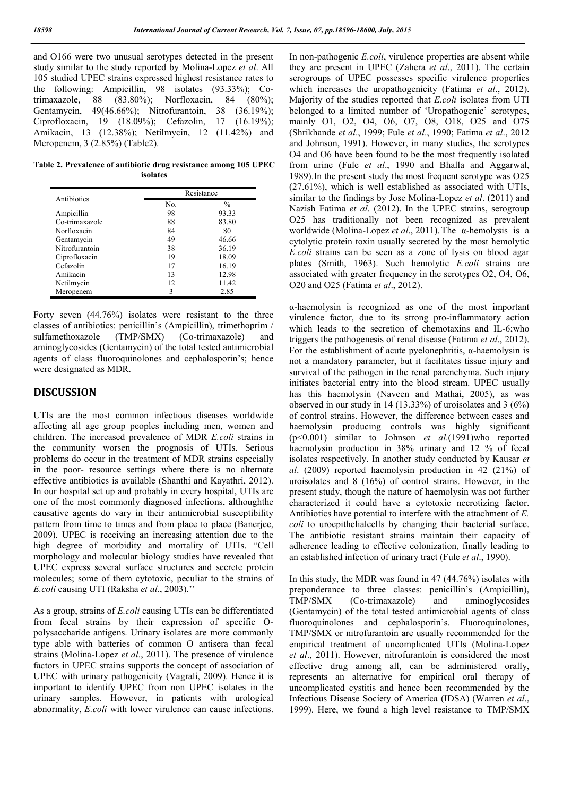and O166 were two unusual serotypes detected in the present study similar to the study reported by Molina-Lopez *et al*. All 105 studied UPEC strains expressed highest resistance rates to the following: Ampicillin, 98 isolates (93.33%); Cotrimaxazole, 88 (83.80%); Norfloxacin, 84 (80%); Gentamycin, 49(46.66%); Nitrofurantoin, 38 (36.19%); Ciprofloxacin, 19 (18.09%); Cefazolin, 17 (16.19%); Amikacin, 13 (12.38%); Netilmycin, 12 (11.42%) and Meropenem, 3 (2.85%) (Table2).

**Table 2. Prevalence of antibiotic drug resistance among 105 UPEC isolates**

| Antibiotics    | Resistance |               |
|----------------|------------|---------------|
|                | No.        | $\frac{0}{0}$ |
| Ampicillin     | 98         | 93.33         |
| Co-trimaxazole | 88         | 83.80         |
| Norfloxacin    | 84         | 80            |
| Gentamycin     | 49         | 46.66         |
| Nitrofurantoin | 38         | 36.19         |
| Ciprofloxacin  | 19         | 18.09         |
| Cefazolin      | 17         | 16.19         |
| Amikacin       | 13         | 12.98         |
| Netilmycin     | 12         | 11.42         |
| Meropenem      | 3          | 2.85          |

Forty seven (44.76%) isolates were resistant to the three classes of antibiotics: penicillin's (Ampicillin), trimethoprim / sulfamethoxazole (TMP/SMX) (Co-trimaxazole) and aminoglycosides (Gentamycin) of the total tested antimicrobial agents of class fluoroquinolones and cephalosporin's; hence were designated as MDR.

#### **DISCUSSION**

UTIs are the most common infectious diseases worldwide affecting all age group peoples including men, women and children. The increased prevalence of MDR *E.coli* strains in the community worsen the prognosis of UTIs. Serious problems do occur in the treatment of MDR strains especially in the poor- resource settings where there is no alternate effective antibiotics is available (Shanthi and Kayathri, 2012). In our hospital set up and probably in every hospital, UTIs are one of the most commonly diagnosed infections, althoughthe causative agents do vary in their antimicrobial susceptibility pattern from time to times and from place to place (Banerjee, 2009). UPEC is receiving an increasing attention due to the high degree of morbidity and mortality of UTIs. "Cell morphology and molecular biology studies have revealed that UPEC express several surface structures and secrete protein molecules; some of them cytotoxic, peculiar to the strains of *E.coli* causing UTI (Raksha *et al*., 2003).''

As a group, strains of *E.coli* causing UTIs can be differentiated from fecal strains by their expression of specific Opolysaccharide antigens. Urinary isolates are more commonly type able with batteries of common O antisera than fecal strains (Molina-Lopez *et al*., 2011). The presence of virulence factors in UPEC strains supports the concept of association of UPEC with urinary pathogenicity (Vagrali, 2009). Hence it is important to identify UPEC from non UPEC isolates in the urinary samples. However, in patients with urological abnormality, *E.coli* with lower virulence can cause infections.

In non-pathogenic *E.coli*, virulence properties are absent while they are present in UPEC (Zahera *et al*., 2011). The certain serogroups of UPEC possesses specific virulence properties which increases the uropathogenicity (Fatima *et al*., 2012). Majority of the studies reported that *E.coli* isolates from UTI belonged to a limited number of 'Uropathogenic' serotypes, mainly O1, O2, O4, O6, O7, O8, O18, O25 and O75 (Shrikhande *et al*., 1999; Fule *et al*., 1990; Fatima *et al*., 2012 and Johnson, 1991). However, in many studies, the serotypes O4 and O6 have been found to be the most frequently isolated from urine (Fule *et al*., 1990 and Bhalla and Aggarwal, 1989).In the present study the most frequent serotype was O25 (27.61%), which is well established as associated with UTIs, similar to the findings by Jose Molina-Lopez *et al*. (2011) and Nazish Fatima *et al*. (2012). In the UPEC strains, serogroup O25 has traditionally not been recognized as prevalent worldwide (Molina-Lopez *et al*., 2011).The α-hemolysis is a cytolytic protein toxin usually secreted by the most hemolytic *E.coli* strains can be seen as a zone of lysis on blood agar plates (Smith, 1963). Such hemolytic *E.coli* strains are associated with greater frequency in the serotypes O2, O4, O6, O20 and O25 (Fatima *et al*., 2012).

α-haemolysin is recognized as one of the most important virulence factor, due to its strong pro-inflammatory action which leads to the secretion of chemotaxins and IL-6;who triggers the pathogenesis of renal disease (Fatima *et al*., 2012). For the establishment of acute pyelonephritis,  $\alpha$ -haemolysin is not a mandatory parameter, but it facilitates tissue injury and survival of the pathogen in the renal parenchyma. Such injury initiates bacterial entry into the blood stream. UPEC usually has this haemolysin (Naveen and Mathai, 2005), as was observed in our study in 14 (13.33%) of uroisolates and 3 (6%) of control strains. However, the difference between cases and haemolysin producing controls was highly significant (p<0.001) similar to Johnson *et al*.(1991)who reported haemolysin production in 38% urinary and 12 % of fecal isolates respectively. In another study conducted by Kausar *et al*. (2009) reported haemolysin production in 42 (21%) of uroisolates and 8 (16%) of control strains. However, in the present study, though the nature of haemolysin was not further characterized it could have a cytotoxic necrotizing factor. Antibiotics have potential to interfere with the attachment of *E. coli* to uroepithelialcells by changing their bacterial surface. The antibiotic resistant strains maintain their capacity of adherence leading to effective colonization, finally leading to an established infection of urinary tract (Fule *et al*., 1990).

In this study, the MDR was found in 47 (44.76%) isolates with preponderance to three classes: penicillin's (Ampicillin), TMP/SMX (Co-trimaxazole) and aminoglycosides (Gentamycin) of the total tested antimicrobial agents of class fluoroquinolones and cephalosporin's. Fluoroquinolones, TMP/SMX or nitrofurantoin are usually recommended for the empirical treatment of uncomplicated UTIs (Molina-Lopez *et al*., 2011). However, nitrofurantoin is considered the most effective drug among all, can be administered orally, represents an alternative for empirical oral therapy of uncomplicated cystitis and hence been recommended by the Infectious Disease Society of America (IDSA) (Warren *et al*., 1999). Here, we found a high level resistance to TMP/SMX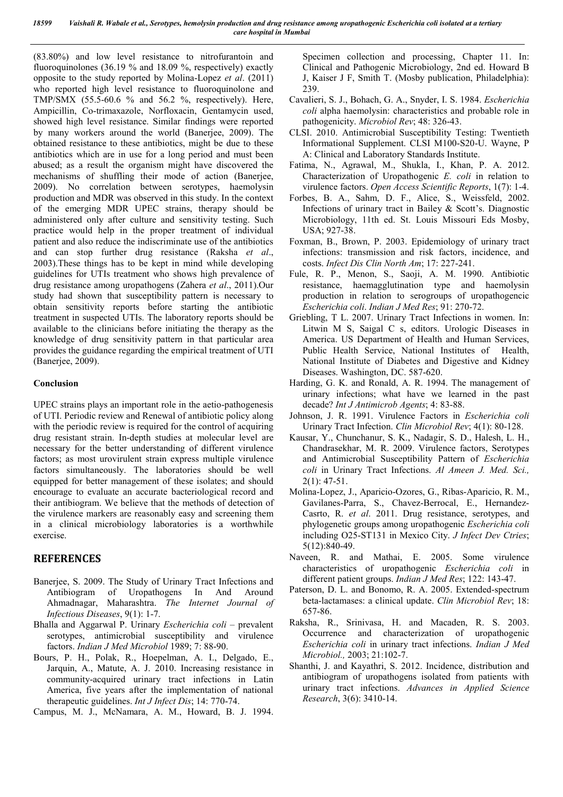(83.80%) and low level resistance to nitrofurantoin and fluoroquinolones (36.19 % and 18.09 %, respectively) exactly opposite to the study reported by Molina-Lopez *et al*. (2011) who reported high level resistance to fluoroquinolone and TMP/SMX (55.5-60.6 % and 56.2 %, respectively). Here, Ampicillin, Co-trimaxazole, Norfloxacin, Gentamycin used, showed high level resistance. Similar findings were reported by many workers around the world (Banerjee, 2009). The obtained resistance to these antibiotics, might be due to these antibiotics which are in use for a long period and must been abused; as a result the organism might have discovered the mechanisms of shuffling their mode of action (Banerjee, 2009). No correlation between serotypes, haemolysin production and MDR was observed in this study. In the context of the emerging MDR UPEC strains, therapy should be administered only after culture and sensitivity testing. Such practice would help in the proper treatment of individual patient and also reduce the indiscriminate use of the antibiotics and can stop further drug resistance (Raksha *et al*., 2003).These things has to be kept in mind while developing guidelines for UTIs treatment who shows high prevalence of drug resistance among uropathogens (Zahera *et al*., 2011).Our study had shown that susceptibility pattern is necessary to obtain sensitivity reports before starting the antibiotic treatment in suspected UTIs. The laboratory reports should be available to the clinicians before initiating the therapy as the knowledge of drug sensitivity pattern in that particular area provides the guidance regarding the empirical treatment of UTI (Banerjee, 2009).

#### **Conclusion**

UPEC strains plays an important role in the aetio-pathogenesis of UTI. Periodic review and Renewal of antibiotic policy along with the periodic review is required for the control of acquiring drug resistant strain. In-depth studies at molecular level are necessary for the better understanding of different virulence factors; as most urovirulent strain express multiple virulence factors simultaneously. The laboratories should be well equipped for better management of these isolates; and should encourage to evaluate an accurate bacteriological record and their antibiogram. We believe that the methods of detection of the virulence markers are reasonably easy and screening them in a clinical microbiology laboratories is a worthwhile exercise.

### **REFERENCES**

- Banerjee, S. 2009. The Study of Urinary Tract Infections and Antibiogram of Uropathogens In And Around Ahmadnagar, Maharashtra. *The Internet Journal of Infectious Diseases*, 9(1): 1-7.
- Bhalla and Aggarwal P. Urinary *Escherichia coli* prevalent serotypes, antimicrobial susceptibility and virulence factors. *Indian J Med Microbiol* 1989; 7: 88-90.
- Bours, P. H., Polak, R., Hoepelman, A. I., Delgado, E., Jarquin, A., Matute, A. J. 2010. Increasing resistance in community-acquired urinary tract infections in Latin America, five years after the implementation of national therapeutic guidelines. *Int J Infect Dis*; 14: 770-74.
- Campus, M. J., McNamara, A. M., Howard, B. J. 1994.

Specimen collection and processing, Chapter 11. In: Clinical and Pathogenic Microbiology, 2nd ed. Howard B J, Kaiser J F, Smith T. (Mosby publication, Philadelphia): 239.

- Cavalieri, S. J., Bohach, G. A., Snyder, I. S. 1984. *Escherichia coli* alpha haemolysin: characteristics and probable role in pathogenicity. *Microbiol Rev*; 48: 326-43.
- CLSI. 2010. Antimicrobial Susceptibility Testing: Twentieth Informational Supplement. CLSI M100-S20-U. Wayne, P A: Clinical and Laboratory Standards Institute.
- Fatima, N., Agrawal, M., Shukla, I., Khan, P. A. 2012. Characterization of Uropathogenic *E. coli* in relation to virulence factors. *Open Access Scientific Reports*, 1(7): 1-4.
- Forbes, B. A., Sahm, D. F., Alice, S., Weissfeld, 2002. Infections of urinary tract in Bailey & Scott's. Diagnostic Microbiology, 11th ed. St. Louis Missouri Eds Mosby, USA; 927-38.
- Foxman, B., Brown, P. 2003. Epidemiology of urinary tract infections: transmission and risk factors, incidence, and costs. *Infect Dis Clin North Am*; 17: 227-241.
- Fule, R. P., Menon, S., Saoji, A. M. 1990. Antibiotic resistance, haemagglutination type and haemolysin production in relation to serogroups of uropathogencic *Escherichia coli*. *Indian J Med Res*; 91: 270-72.
- Griebling, T L. 2007. Urinary Tract Infections in women. In: Litwin M S, Saigal C s, editors. Urologic Diseases in America. US Department of Health and Human Services, Public Health Service, National Institutes of Health, National Institute of Diabetes and Digestive and Kidney Diseases. Washington, DC. 587-620.
- Harding, G. K. and Ronald, A. R. 1994. The management of urinary infections; what have we learned in the past decade? *Int J Antimicrob Agents*; 4: 83-88.
- Johnson, J. R. 1991. Virulence Factors in *Escherichia coli* Urinary Tract Infection. *Clin Microbiol Rev*; 4(1): 80-128.
- Kausar, Y., Chunchanur, S. K., Nadagir, S. D., Halesh, L. H., Chandrasekhar, M. R. 2009. Virulence factors, Serotypes and Antimicrobial Susceptibility Pattern of *Escherichia coli* in Urinary Tract Infections. *Al Ameen J. Med. Sci.,*  $2(1)$ : 47-51.
- Molina-Lopez, J., Aparicio-Ozores, G., Ribas-Aparicio, R. M., Gavilanes-Parra, S., Chavez-Berrocal, E., Hernandez-Casrto, R. *et al*. 2011. Drug resistance, serotypes, and phylogenetic groups among uropathogenic *Escherichia coli*  including O25-ST131 in Mexico City. *J Infect Dev Ctries*; 5(12):840-49.
- Naveen, R. and Mathai, E. 2005. Some virulence characteristics of uropathogenic *Escherichia coli* in different patient groups. *Indian J Med Res*; 122: 143-47.
- Paterson, D. L. and Bonomo, R. A. 2005. Extended-spectrum beta-lactamases: a clinical update. *Clin Microbiol Rev*; 18: 657-86.
- Raksha, R., Srinivasa, H. and Macaden, R. S. 2003. Occurrence and characterization of uropathogenic *Escherichia coli* in urinary tract infections. *Indian J Med Microbiol.,* 2003; 21:102-7.
- Shanthi, J. and Kayathri, S. 2012. Incidence, distribution and antibiogram of uropathogens isolated from patients with urinary tract infections. *Advances in Applied Science Research*, 3(6): 3410-14.